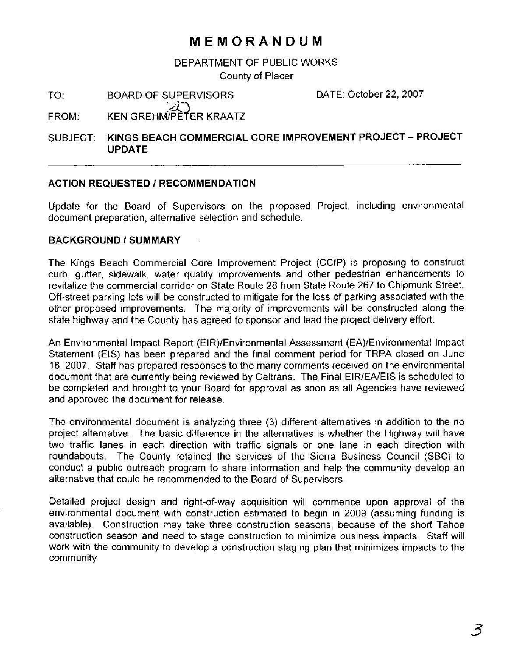# **MEMORANDUM**

# DEPARTMENT OF PUBLIC WORKS County of Placer

TO: BOARD OF SUPERVISORS DATE: October 22,2007

FROM: **KEN GREHM/PETER KRAATZ** 

#### SUBJECT: **KINGS BEACH COMMERCIAL CORE IMPROVEMENT PROJECT** - **PROJECT UPDATE**

# **ACTION REQUESTED I RECOMMENDATION**

Update for the Board of Supervisors on the proposed Project, including environmental document preparation, alternative selection and schedule.

# **BACKGROUND** I **SUMMARY**

The Kings Beach Commercial Core Improvement Project (CCIP) is proposing to construct curb, gutter, sidewalk, water quality improvements and other pedestrian enhancements to revitalize the commercial corridor on State Route 28 from State Route 267 to Chipmunk Street. Off-street parking lots will be constructed to mitigate for the loss of parking associated with the other proposed improvements. The majority of improvements will be constructed along the state highway and the County has agreed to sponsor and lead the project delivery effort.

An Environmental Impact Report (EIR)/Environmental Assessment (EA)/Environmental Impact Statement (EIS) has been prepared and the final comment period for TRPA closed on June 18, 2007. Staff has prepared responses to the many comments received on the environmental document that are currently being reviewed by Caltrans. The Final EIR/EA/EIS is scheduled to be completed and brought to your Board for approval as soon as all Agencies have reviewed and approved the document for release.

The environmental document is analyzing three (3) different alternatives in addition to the no project alternative. The basic difference in the alternatives is whether the Highway will have two traffic lanes in each direction with traffic signals or one lane in each direction with roundabouts. The County retained the services of the Sierra Business Council (SBC) to conduct a public outreach program to share information and help the community develop an alternative that could be recommended to the Board of Supervisors.

Detailed project design and right-of-way acquisition will commence upon approval of the environmental document with construction estimated to begin in 2009 (assuming funding is available). Construction may take three construction seasons, because of the short Tahoe construction season and need to stage construction to minimize business impacts. Staff will work with the community to develop a construction staging plan that minimizes impacts to the community